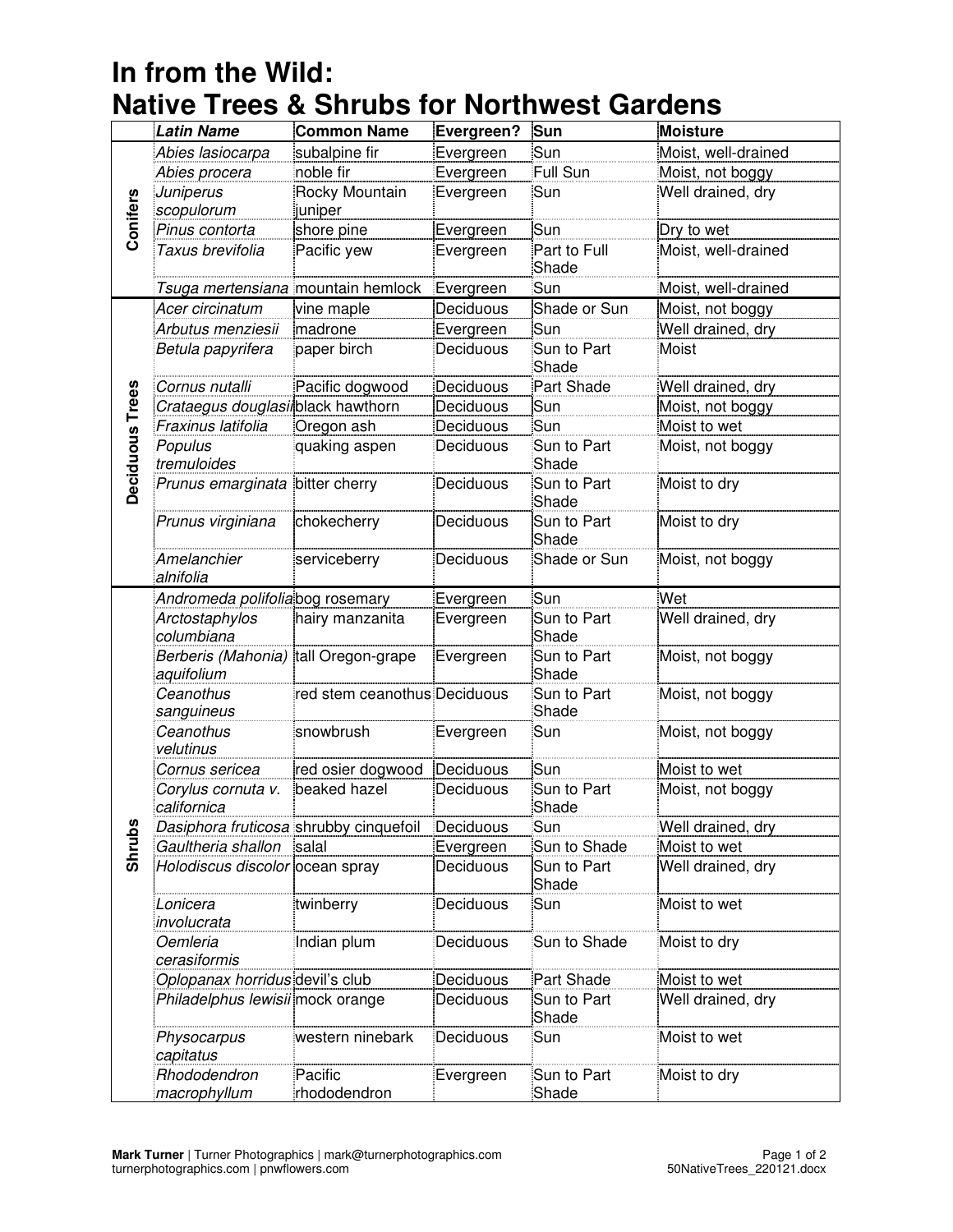## **In from the Wild: Native Trees & Shrubs for Northwest Gardens**

|                 | <b>Latin Name</b>                      | <b>Common Name</b>           | Evergreen? | Sun                   | <b>Moisture</b>     |
|-----------------|----------------------------------------|------------------------------|------------|-----------------------|---------------------|
| Coniters        | Abies lasiocarpa                       | subalpine fir                | Evergreen  | Sun                   | Moist, well-drained |
|                 | Abies procera                          | noble fir                    | Evergreen  | Full Sun              | Moist, not boggy    |
|                 | Juniperus                              | Rocky Mountain               | Evergreen  | Sun                   | Well drained, dry   |
|                 | scopulorum                             | juniper                      |            |                       |                     |
|                 | Pinus contorta                         | shore pine                   | Evergreen  | Sun                   | Dry to wet          |
|                 | Taxus brevifolia                       | Pacific yew                  | Evergreen  | Part to Full<br>Shade | Moist, well-drained |
|                 | Tsuga mertensiana mountain hemlock     |                              | Evergreen  | Sun                   | Moist, well-drained |
| Deciduous Trees | Acer circinatum                        | vine maple                   | Deciduous  | Shade or Sun          | Moist, not boggy    |
|                 | Arbutus menziesii                      | madrone                      | Evergreen  | Sun                   | Well drained, dry   |
|                 | Betula papyrifera                      | paper birch                  | Deciduous  | Sun to Part<br>Shade  | Moist               |
|                 | Cornus nutalli                         | Pacific dogwood              | Deciduous  | Part Shade            | Well drained, dry   |
|                 | Crataegus douglasiiblack hawthorn      |                              | Deciduous  | Sun                   | Moist, not boggy    |
|                 | Fraxinus latifolia                     | Oregon ash                   | Deciduous  | Sun                   | Moist to wet        |
|                 | Populus<br>tremuloides                 | quaking aspen                | Deciduous  | Sun to Part<br>Shade  | Moist, not boggy    |
|                 | Prunus emarginata                      | bitter cherry                | Deciduous  | Sun to Part<br>Shade  | Moist to dry        |
|                 | Prunus virginiana                      | chokecherry                  | Deciduous  | Sun to Part<br>Shade  | Moist to dry        |
|                 | Amelanchier<br>alnifolia               | serviceberry                 | Deciduous  | Shade or Sun          | Moist, not boggy    |
|                 | Andromeda polifoliabog rosemary        |                              | Evergreen  | Sun                   | Wet                 |
|                 | Arctostaphylos<br>columbiana           | hairy manzanita              | Evergreen  | Sun to Part<br>Shade  | Well drained, dry   |
|                 | Berberis (Mahonia)<br>aquifolium       | tall Oregon-grape            | Evergreen  | Sun to Part<br>Shade  | Moist, not boggy    |
|                 | Ceanothus<br>sanguineus                | red stem ceanothus Deciduous |            | Sun to Part<br>Shade  | Moist, not boggy    |
|                 | Ceanothus<br>velutinus                 | snowbrush                    | Evergreen  | Sun                   | Moist, not boggy    |
|                 | Cornus sericea                         | red osier dogwood            | Deciduous  | Sun                   | Moist to wet        |
| <b>Shrubs</b>   | Corylus cornuta v.<br>californica      | beaked hazel                 | Deciduous  | Sun to Part<br>Shade  | Moist, not boggy    |
|                 | Dasiphora fruticosa shrubby cinquefoil |                              | Deciduous  | Sun                   | Well drained, dry   |
|                 | Gaultheria shallon                     | salal                        | Evergreen  | Sun to Shade          | Moist to wet        |
|                 | Holodiscus discolor ocean spray        |                              | Deciduous  | Sun to Part<br>Shade  | Well drained, dry   |
|                 | Lonicera<br>involucrata                | twinberry                    | Deciduous  | Sun                   | Moist to wet        |
|                 | Oemleria<br>cerasiformis               | Indian plum                  | Deciduous  | Sun to Shade          | Moist to dry        |
|                 | Oplopanax horridus devil's club        |                              | Deciduous  | Part Shade            | Moist to wet        |
|                 | Philadelphus lewisii mock orange       |                              | Deciduous  | Sun to Part<br>Shade  | Well drained, dry   |
|                 | Physocarpus<br>capitatus               | western ninebark             | Deciduous  | Sun                   | Moist to wet        |
|                 | Rhododendron<br>macrophyllum           | Pacific<br>rhododendron      | Evergreen  | Sun to Part<br>Shade  | Moist to dry        |